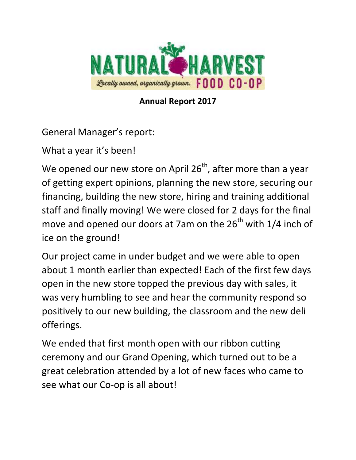

**Annual Report 2017**

General Manager's report:

What a year it's been!

We opened our new store on April  $26<sup>th</sup>$ , after more than a year of getting expert opinions, planning the new store, securing our financing, building the new store, hiring and training additional staff and finally moving! We were closed for 2 days for the final move and opened our doors at 7am on the  $26<sup>th</sup>$  with  $1/4$  inch of ice on the ground!

Our project came in under budget and we were able to open about 1 month earlier than expected! Each of the first few days open in the new store topped the previous day with sales, it was very humbling to see and hear the community respond so positively to our new building, the classroom and the new deli offerings.

We ended that first month open with our ribbon cutting ceremony and our Grand Opening, which turned out to be a great celebration attended by a lot of new faces who came to see what our Co-op is all about!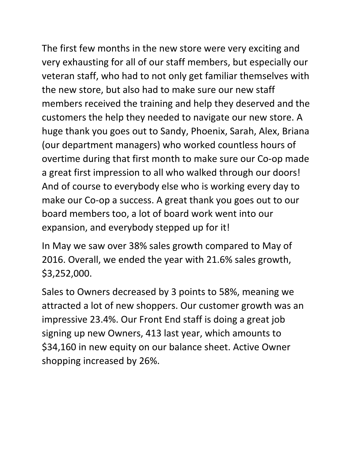The first few months in the new store were very exciting and very exhausting for all of our staff members, but especially our veteran staff, who had to not only get familiar themselves with the new store, but also had to make sure our new staff members received the training and help they deserved and the customers the help they needed to navigate our new store. A huge thank you goes out to Sandy, Phoenix, Sarah, Alex, Briana (our department managers) who worked countless hours of overtime during that first month to make sure our Co-op made a great first impression to all who walked through our doors! And of course to everybody else who is working every day to make our Co-op a success. A great thank you goes out to our board members too, a lot of board work went into our expansion, and everybody stepped up for it!

In May we saw over 38% sales growth compared to May of 2016. Overall, we ended the year with 21.6% sales growth, \$3,252,000.

Sales to Owners decreased by 3 points to 58%, meaning we attracted a lot of new shoppers. Our customer growth was an impressive 23.4%. Our Front End staff is doing a great job signing up new Owners, 413 last year, which amounts to \$34,160 in new equity on our balance sheet. Active Owner shopping increased by 26%.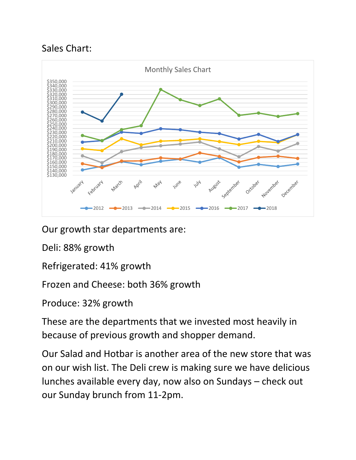## Sales Chart:



Our growth star departments are:

Deli: 88% growth

Refrigerated: 41% growth

Frozen and Cheese: both 36% growth

Produce: 32% growth

These are the departments that we invested most heavily in because of previous growth and shopper demand.

Our Salad and Hotbar is another area of the new store that was on our wish list. The Deli crew is making sure we have delicious lunches available every day, now also on Sundays – check out our Sunday brunch from 11-2pm.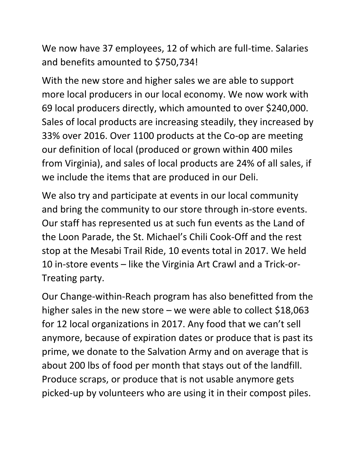We now have 37 employees, 12 of which are full-time. Salaries and benefits amounted to \$750,734!

With the new store and higher sales we are able to support more local producers in our local economy. We now work with 69 local producers directly, which amounted to over \$240,000. Sales of local products are increasing steadily, they increased by 33% over 2016. Over 1100 products at the Co-op are meeting our definition of local (produced or grown within 400 miles from Virginia), and sales of local products are 24% of all sales, if we include the items that are produced in our Deli.

We also try and participate at events in our local community and bring the community to our store through in-store events. Our staff has represented us at such fun events as the Land of the Loon Parade, the St. Michael's Chili Cook-Off and the rest stop at the Mesabi Trail Ride, 10 events total in 2017. We held 10 in-store events – like the Virginia Art Crawl and a Trick-or-Treating party.

Our Change-within-Reach program has also benefitted from the higher sales in the new store – we were able to collect  $$18,063$ for 12 local organizations in 2017. Any food that we can't sell anymore, because of expiration dates or produce that is past its prime, we donate to the Salvation Army and on average that is about 200 lbs of food per month that stays out of the landfill. Produce scraps, or produce that is not usable anymore gets picked-up by volunteers who are using it in their compost piles.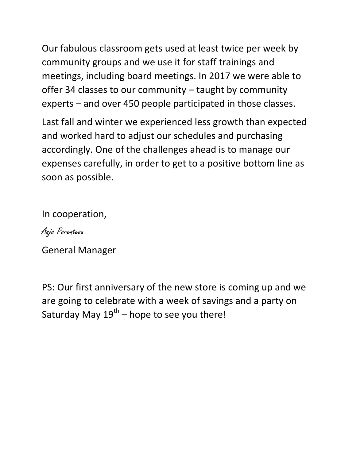Our fabulous classroom gets used at least twice per week by community groups and we use it for staff trainings and meetings, including board meetings. In 2017 we were able to offer 34 classes to our community – taught by community experts – and over 450 people participated in those classes.

Last fall and winter we experienced less growth than expected and worked hard to adjust our schedules and purchasing accordingly. One of the challenges ahead is to manage our expenses carefully, in order to get to a positive bottom line as soon as possible.

In cooperation,

Anja Parenteau

General Manager

PS: Our first anniversary of the new store is coming up and we are going to celebrate with a week of savings and a party on Saturday May  $19^{th}$  – hope to see you there!